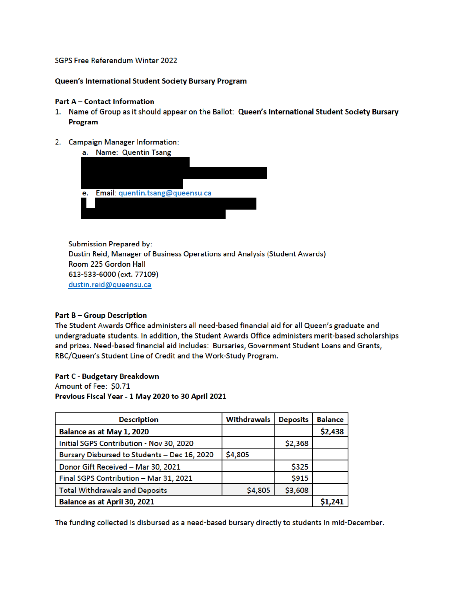### SGPS Free Referendum Winter 2022

### Queen's International Student Society Bursary Program

### **Part A - Contact Information**

- 1. Name of Group as it should appear on the Ballot: Queen's International Student Society Bursary Program
- 2. Campaign Manager Information:



**Submission Prepared by:** Dustin Reid, Manager of Business Operations and Analysis (Student Awards) Room 225 Gordon Hall 613-533-6000 (ext. 77109) dustin.reid@queensu.ca

# **Part B-Group Description**

The Student Awards Office administers all need-based financial aid for all Queen's graduate and undergraduate students. In addition, the Student Awards Office administers merit-based scholarships and prizes. Need-based financial aid includes: Bursaries, Government Student Loans and Grants, RBC/Queen's Student Line of Credit and the Work-Study Program.

#### **Part C - Budgetary Breakdown**

Amount of Fee: \$0.71

Previous Fiscal Year - 1 May 2020 to 30 April 2021

| <b>Description</b>                           | <b>Withdrawals</b> | <b>Deposits</b> | <b>Balance</b> |
|----------------------------------------------|--------------------|-----------------|----------------|
| Balance as at May 1, 2020                    |                    |                 | \$2,438        |
| Initial SGPS Contribution - Nov 30, 2020     |                    | \$2,368         |                |
| Bursary Disbursed to Students - Dec 16, 2020 | \$4,805            |                 |                |
| Donor Gift Received - Mar 30, 2021           |                    | \$325           |                |
| Final SGPS Contribution - Mar 31, 2021       |                    | \$915           |                |
| <b>Total Withdrawals and Deposits</b>        | \$4,805            | \$3,608         |                |
| Balance as at April 30, 2021                 |                    |                 |                |

The funding collected is disbursed as a need-based bursary directly to students in mid-December.